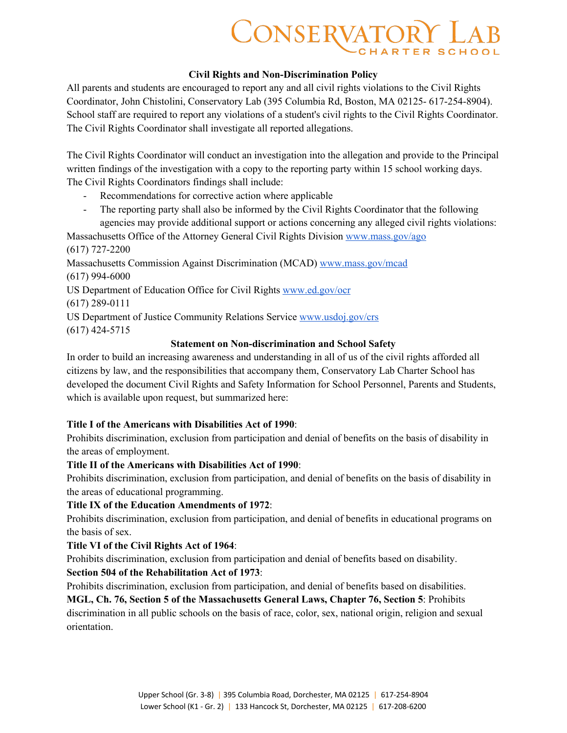# **CONSERVATORY LAB**

#### **Civil Rights and Non-Discrimination Policy**

All parents and students are encouraged to report any and all civil rights violations to the Civil Rights Coordinator, John Chistolini, Conservatory Lab (395 Columbia Rd, Boston, MA 02125- 617-254-8904). School staff are required to report any violations of a student's civil rights to the Civil Rights Coordinator. The Civil Rights Coordinator shall investigate all reported allegations.

The Civil Rights Coordinator will conduct an investigation into the allegation and provide to the Principal written findings of the investigation with a copy to the reporting party within 15 school working days. The Civil Rights Coordinators findings shall include:

- Recommendations for corrective action where applicable
- The reporting party shall also be informed by the Civil Rights Coordinator that the following agencies may provide additional support or actions concerning any alleged civil rights violations:

Massachusetts Office of the Attorney General Civil Rights Division www.mass.gov/ago

(617) 727-2200

Massachusetts Commission Against Discrimination (MCAD) www.mass.gov/mcad (617) 994-6000

US Department of Education Office for Civil Rights www.ed.gov/ocr

(617) 289-0111

US Department of Justice Community Relations Service www.usdoj.gov/crs (617) 424-5715

### **Statement on Non-discrimination and School Safety**

In order to build an increasing awareness and understanding in all of us of the civil rights afforded all citizens by law, and the responsibilities that accompany them, Conservatory Lab Charter School has developed the document Civil Rights and Safety Information for School Personnel, Parents and Students, which is available upon request, but summarized here:

#### **Title I of the Americans with Disabilities Act of 1990**:

Prohibits discrimination, exclusion from participation and denial of benefits on the basis of disability in the areas of employment.

#### **Title II of the Americans with Disabilities Act of 1990**:

Prohibits discrimination, exclusion from participation, and denial of benefits on the basis of disability in the areas of educational programming.

#### **Title IX of the Education Amendments of 1972**:

Prohibits discrimination, exclusion from participation, and denial of benefits in educational programs on the basis of sex.

#### **Title VI of the Civil Rights Act of 1964**:

Prohibits discrimination, exclusion from participation and denial of benefits based on disability.

#### **Section 504 of the Rehabilitation Act of 1973**:

Prohibits discrimination, exclusion from participation, and denial of benefits based on disabilities.

## **MGL, Ch. 76, Section 5 of the Massachusetts General Laws, Chapter 76, Section 5**: Prohibits discrimination in all public schools on the basis of race, color, sex, national origin, religion and sexual orientation.